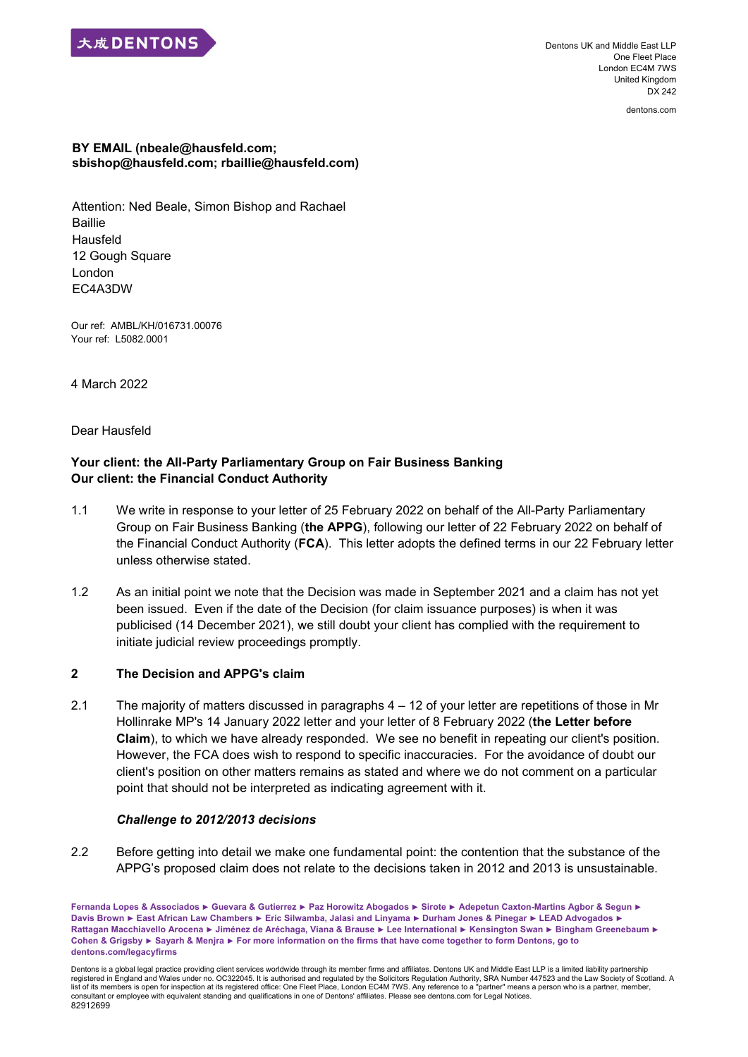

Dentons UK and Middle East LLP One Fleet Place London EC4M 7WS United Kingdom DX 242

dentons.com

#### **BY EMAIL (nbeale@hausfeld.com; sbishop@hausfeld.com; rbaillie@hausfeld.com)**

Attention: Ned Beale, Simon Bishop and Rachael **Baillie** Hausfeld 12 Gough Square London EC4A3DW

Our ref: AMBL/KH/016731.00076 Your ref: L5082.0001

4 March 2022

Dear Hausfeld

# **Your client: the All-Party Parliamentary Group on Fair Business Banking Our client: the Financial Conduct Authority**

- 1.1 We write in response to your letter of 25 February 2022 on behalf of the All-Party Parliamentary Group on Fair Business Banking (**the APPG**), following our letter of 22 February 2022 on behalf of the Financial Conduct Authority (**FCA**). This letter adopts the defined terms in our 22 February letter unless otherwise stated.
- 1.2 As an initial point we note that the Decision was made in September 2021 and a claim has not yet been issued. Even if the date of the Decision (for claim issuance purposes) is when it was publicised (14 December 2021), we still doubt your client has complied with the requirement to initiate judicial review proceedings promptly.

## **2 The Decision and APPG's claim**

2.1 The majority of matters discussed in paragraphs 4 – 12 of your letter are repetitions of those in Mr Hollinrake MP's 14 January 2022 letter and your letter of 8 February 2022 (**the Letter before Claim**), to which we have already responded. We see no benefit in repeating our client's position. However, the FCA does wish to respond to specific inaccuracies. For the avoidance of doubt our client's position on other matters remains as stated and where we do not comment on a particular point that should not be interpreted as indicating agreement with it.

#### *Challenge to 2012/2013 decisions*

2.2 Before getting into detail we make one fundamental point: the contention that the substance of the APPG's proposed claim does not relate to the decisions taken in 2012 and 2013 is unsustainable.

**Fernanda Lopes & Associados ► Guevara & Gutierrez ► Paz Horowitz Abogados ► Sirote ► Adepetun Caxton-Martins Agbor & Segun ► Davis Brown ► East African Law Chambers ► Eric Silwamba, Jalasi and Linyama ► Durham Jones & Pinegar ► LEAD Advogados ► Rattagan Macchiavello Arocena ► Jiménez de Aréchaga, Viana & Brause ► Lee International ► Kensington Swan ► Bingham Greenebaum ► Cohen & Grigsby ► Sayarh & Menjra ► For more information on the firms that have come together to form Dentons, go to dentons.com/legacyfirms**

Dentons is a global legal practice providing client services worldwide through its member firms and affiliates. Dentons UK and Middle East LLP is a limited liability partnership registered in England and Wales under no. OC322045. It is authorised and regulated by the Solicitors Regulation Authority, SRA Number 447523 and the Law Society of Scotland. A list of its members is open for inspection at its registered office: One Fleet Place, London EC4M 7WS. Any reference to a "partner" means a person who is a partner, member, consultant or employee with equivalent standing and qualifications in one of Dentons' affiliates. Please see dentons.com for Legal Notices. 82912699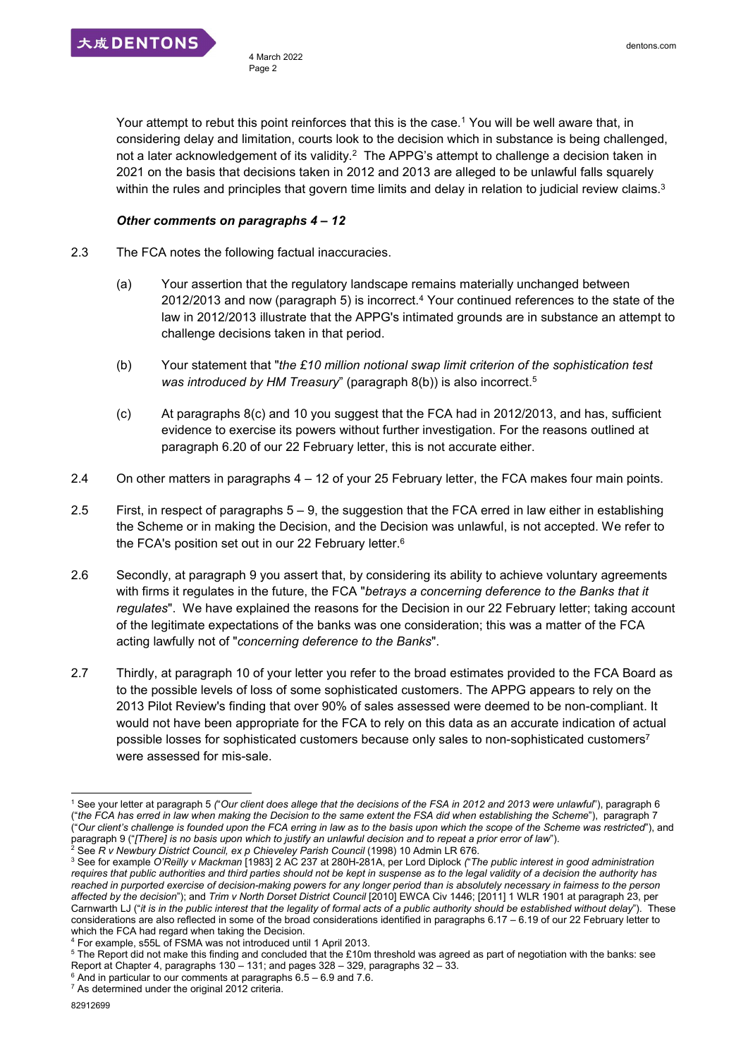Your attempt to rebut this point reinforces that this is the case.<sup>1</sup> You will be well aware that, in considering delay and limitation, courts look to the decision which in substance is being challenged, not a later acknowledgement of its validity.<sup>2</sup> The APPG's attempt to challenge a decision taken in 2021 on the basis that decisions taken in 2012 and 2013 are alleged to be unlawful falls squarely within the rules and principles that govern time limits and delay in relation to judicial review claims. $^3$ 

### *Other comments on paragraphs 4 – 12*

- 2.3 The FCA notes the following factual inaccuracies.
	- (a) Your assertion that the regulatory landscape remains materially unchanged between 2012/2013 and now (paragraph 5) is incorrect. <sup>4</sup> Your continued references to the state of the law in 2012/2013 illustrate that the APPG's intimated grounds are in substance an attempt to challenge decisions taken in that period.
	- (b) Your statement that "*the £10 million notional swap limit criterion of the sophistication test*  was introduced by HM Treasury" (paragraph 8(b)) is also incorrect.<sup>5</sup>
	- (c) At paragraphs 8(c) and 10 you suggest that the FCA had in 2012/2013, and has, sufficient evidence to exercise its powers without further investigation. For the reasons outlined at paragraph 6.20 of our 22 February letter, this is not accurate either.
- 2.4 On other matters in paragraphs 4 12 of your 25 February letter, the FCA makes four main points.
- 2.5 First, in respect of paragraphs 5 9, the suggestion that the FCA erred in law either in establishing the Scheme or in making the Decision, and the Decision was unlawful, is not accepted. We refer to the FCA's position set out in our 22 February letter. 6
- 2.6 Secondly, at paragraph 9 you assert that, by considering its ability to achieve voluntary agreements with firms it regulates in the future, the FCA "*betrays a concerning deference to the Banks that it regulates*". We have explained the reasons for the Decision in our 22 February letter; taking account of the legitimate expectations of the banks was one consideration; this was a matter of the FCA acting lawfully not of "*concerning deference to the Banks*".
- 2.7 Thirdly, at paragraph 10 of your letter you refer to the broad estimates provided to the FCA Board as to the possible levels of loss of some sophisticated customers. The APPG appears to rely on the 2013 Pilot Review's finding that over 90% of sales assessed were deemed to be non-compliant. It would not have been appropriate for the FCA to rely on this data as an accurate indication of actual possible losses for sophisticated customers because only sales to non-sophisticated customers<sup>7</sup> were assessed for mis-sale.

<sup>1</sup> <sup>1</sup> See your letter at paragraph 5 *(*"*Our client does allege that the decisions of the FSA in 2012 and 2013 were unlawful*"), paragraph 6 ("*the FCA has erred in law when making the Decision to the same extent the FSA did when establishing the Scheme*"), paragraph 7 ("*Our client's challenge is founded upon the FCA erring in law as to the basis upon which the scope of the Scheme was restricted*"), and paragraph 9 ("*[There] is no basis upon which to justify an unlawful decision and to repeat a prior error of law*"). <sup>2</sup> See *R v Newbury District Council, ex p Chieveley Parish Council (1998) 10 Admin LR 676.* 

<sup>3</sup> See for example *O'Reilly v Mackman* [1983] 2 AC 237 at 280H-281A, per Lord Diplock *(*"*The public interest in good administration requires that public authorities and third parties should not be kept in suspense as to the legal validity of a decision the authority has reached in purported exercise of decision-making powers for any longer period than is absolutely necessary in fairness to the person affected by the decision*"); and *Trim v North Dorset District Council* [2010] EWCA Civ 1446; [2011] 1 WLR 1901 at paragraph 23, per Carnwarth LJ ("*it is in the public interest that the legality of formal acts of a public authority should be established without delay*"). These considerations are also reflected in some of the broad considerations identified in paragraphs 6.17 – 6.19 of our 22 February letter to which the FCA had regard when taking the Decision.

<sup>4</sup> For example, s55L of FSMA was not introduced until 1 April 2013.

<sup>5</sup> The Report did not make this finding and concluded that the £10m threshold was agreed as part of negotiation with the banks: see Report at Chapter 4, paragraphs 130 – 131; and pages 328 – 329, paragraphs 32 – 33.

 $6$  And in particular to our comments at paragraphs  $6.5 - 6.9$  and 7.6.

 $7$  As determined under the original 2012 criteria.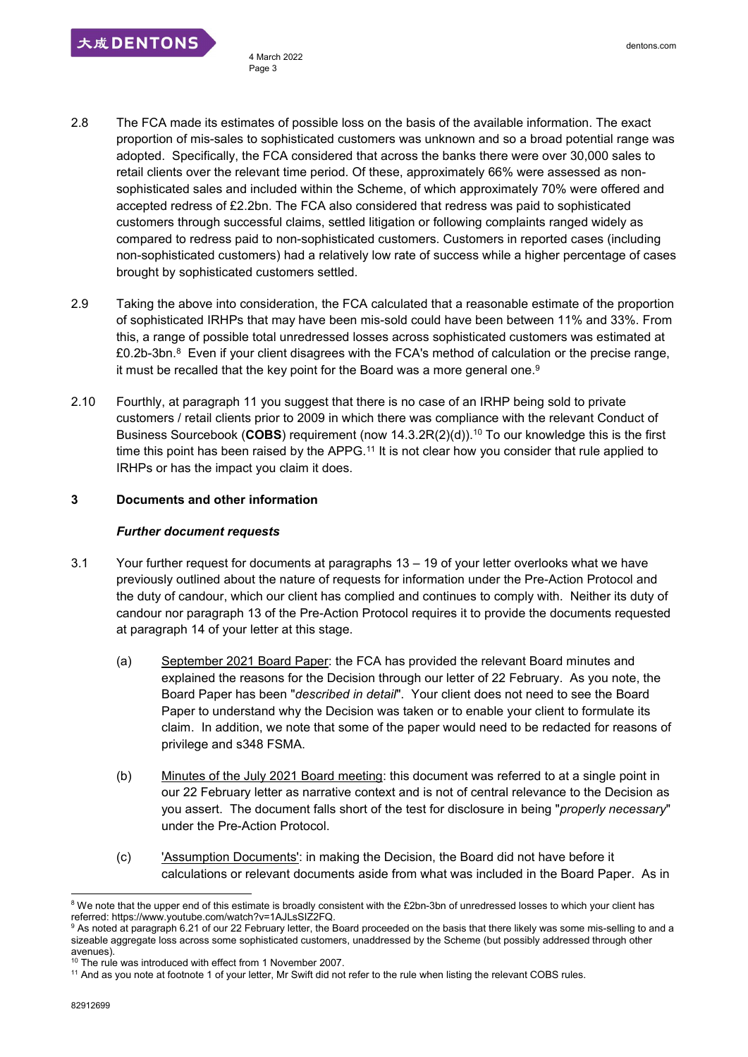大成DENTONS

- 2.8 The FCA made its estimates of possible loss on the basis of the available information. The exact proportion of mis-sales to sophisticated customers was unknown and so a broad potential range was adopted. Specifically, the FCA considered that across the banks there were over 30,000 sales to retail clients over the relevant time period. Of these, approximately 66% were assessed as nonsophisticated sales and included within the Scheme, of which approximately 70% were offered and accepted redress of £2.2bn. The FCA also considered that redress was paid to sophisticated customers through successful claims, settled litigation or following complaints ranged widely as compared to redress paid to non-sophisticated customers. Customers in reported cases (including non-sophisticated customers) had a relatively low rate of success while a higher percentage of cases brought by sophisticated customers settled.
- 2.9 Taking the above into consideration, the FCA calculated that a reasonable estimate of the proportion of sophisticated IRHPs that may have been mis-sold could have been between 11% and 33%. From this, a range of possible total unredressed losses across sophisticated customers was estimated at £0.2b-3bn. $^8\,$  Even if your client disagrees with the FCA's method of calculation or the precise range, it must be recalled that the key point for the Board was a more general one. $^9$
- 2.10 Fourthly, at paragraph 11 you suggest that there is no case of an IRHP being sold to private customers / retail clients prior to 2009 in which there was compliance with the relevant Conduct of Business Sourcebook (**COBS**) requirement (now 14.3.2R(2)(d)).<sup>10</sup> To our knowledge this is the first time this point has been raised by the APPG.<sup>11</sup> It is not clear how you consider that rule applied to IRHPs or has the impact you claim it does.

## **3 Documents and other information**

### *Further document requests*

- 3.1 Your further request for documents at paragraphs 13 19 of your letter overlooks what we have previously outlined about the nature of requests for information under the Pre-Action Protocol and the duty of candour, which our client has complied and continues to comply with. Neither its duty of candour nor paragraph 13 of the Pre-Action Protocol requires it to provide the documents requested at paragraph 14 of your letter at this stage.
	- (a) September 2021 Board Paper: the FCA has provided the relevant Board minutes and explained the reasons for the Decision through our letter of 22 February. As you note, the Board Paper has been "*described in detail*". Your client does not need to see the Board Paper to understand why the Decision was taken or to enable your client to formulate its claim. In addition, we note that some of the paper would need to be redacted for reasons of privilege and s348 FSMA.
	- (b) Minutes of the July 2021 Board meeting: this document was referred to at a single point in our 22 February letter as narrative context and is not of central relevance to the Decision as you assert. The document falls short of the test for disclosure in being "*properly necessary*" under the Pre-Action Protocol.
	- (c) 'Assumption Documents': in making the Decision, the Board did not have before it calculations or relevant documents aside from what was included in the Board Paper. As in

1

<sup>&</sup>lt;sup>8</sup> We note that the upper end of this estimate is broadly consistent with the £2bn-3bn of unredressed losses to which your client has referred: https://www.youtube.com/watch?v=1AJLsSIZ2FQ.

<sup>9</sup> As noted at paragraph 6.21 of our 22 February letter, the Board proceeded on the basis that there likely was some mis-selling to and a sizeable aggregate loss across some sophisticated customers, unaddressed by the Scheme (but possibly addressed through other avenues).

<sup>&</sup>lt;sup>10</sup> The rule was introduced with effect from 1 November 2007.

<sup>&</sup>lt;sup>11</sup> And as you note at footnote 1 of your letter, Mr Swift did not refer to the rule when listing the relevant COBS rules.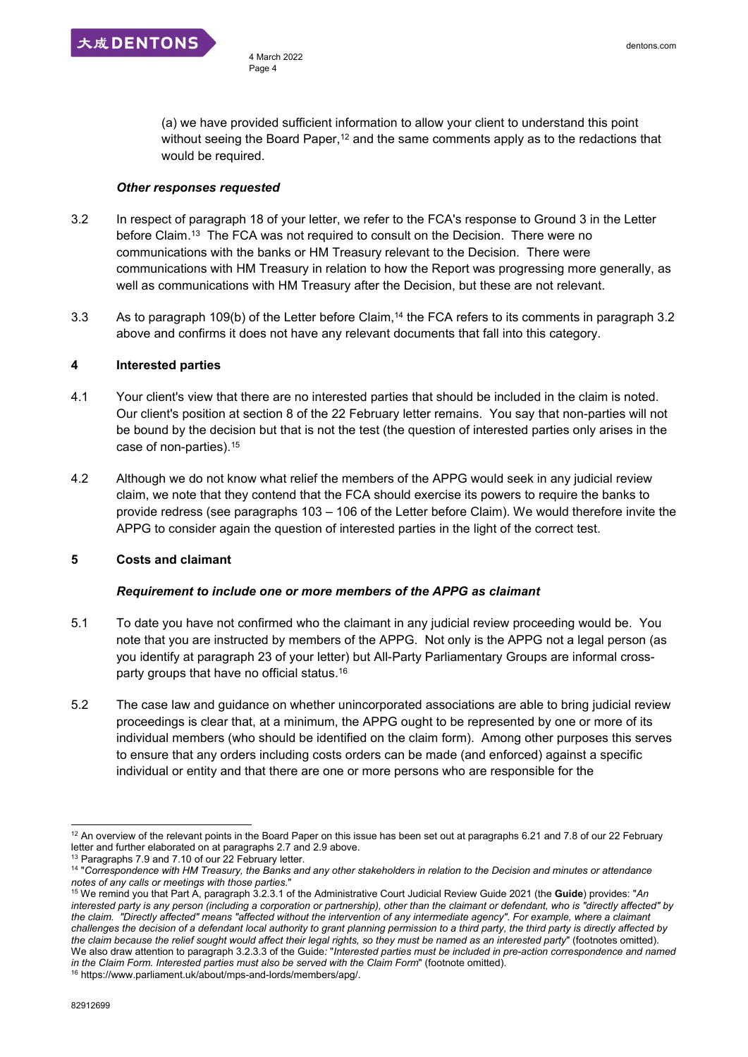(a) we have provided sufficient information to allow your client to understand this point without seeing the Board Paper,<sup>12</sup> and the same comments apply as to the redactions that would be required.

#### *Other responses requested*

- 3.2 In respect of paragraph 18 of your letter, we refer to the FCA's response to Ground 3 in the Letter before Claim.<sup>13</sup> The FCA was not required to consult on the Decision. There were no communications with the banks or HM Treasury relevant to the Decision. There were communications with HM Treasury in relation to how the Report was progressing more generally, as well as communications with HM Treasury after the Decision, but these are not relevant.
- 3.3 As to paragraph 109(b) of the Letter before Claim,<sup>14</sup> the FCA refers to its comments in paragraph 3.2 above and confirms it does not have any relevant documents that fall into this category.

## **4 Interested parties**

- 4.1 Your client's view that there are no interested parties that should be included in the claim is noted. Our client's position at section 8 of the 22 February letter remains. You say that non-parties will not be bound by the decision but that is not the test (the question of interested parties only arises in the case of non-parties).<sup>15</sup>
- 4.2 Although we do not know what relief the members of the APPG would seek in any judicial review claim, we note that they contend that the FCA should exercise its powers to require the banks to provide redress (see paragraphs 103 – 106 of the Letter before Claim). We would therefore invite the APPG to consider again the question of interested parties in the light of the correct test.

## **5 Costs and claimant**

## *Requirement to include one or more members of the APPG as claimant*

- 5.1 To date you have not confirmed who the claimant in any judicial review proceeding would be. You note that you are instructed by members of the APPG. Not only is the APPG not a legal person (as you identify at paragraph 23 of your letter) but All-Party Parliamentary Groups are informal crossparty groups that have no official status. 16
- 5.2 The case law and guidance on whether unincorporated associations are able to bring judicial review proceedings is clear that, at a minimum, the APPG ought to be represented by one or more of its individual members (who should be identified on the claim form). Among other purposes this serves to ensure that any orders including costs orders can be made (and enforced) against a specific individual or entity and that there are one or more persons who are responsible for the

<sup>-</sup> $12$  An overview of the relevant points in the Board Paper on this issue has been set out at paragraphs 6.21 and 7.8 of our 22 February letter and further elaborated on at paragraphs 2.7 and 2.9 above.

<sup>&</sup>lt;sup>13</sup> Paragraphs 7.9 and 7.10 of our 22 February letter.

<sup>&</sup>lt;sup>14</sup> "Correspondence with HM Treasury, the Banks and any other stakeholders in relation to the Decision and minutes or attendance *notes of any calls or meetings with those parties.*"

<sup>15</sup> We remind you that Part A, paragraph 3.2.3.1 of the Administrative Court Judicial Review Guide 2021 (the **Guide**) provides: "*An interested party is any person (including a corporation or partnership), other than the claimant or defendant, who is "directly affected" by the claim. "Directly affected" means "affected without the intervention of any intermediate agency". For example, where a claimant challenges the decision of a defendant local authority to grant planning permission to a third party, the third party is directly affected by the claim because the relief sought would affect their legal rights, so they must be named as an interested party*" (footnotes omitted). We also draw attention to paragraph 3.2.3.3 of the Guide*:* "*Interested parties must be included in pre-action correspondence and named in the Claim Form. Interested parties must also be served with the Claim Form*" (footnote omitted).

<sup>16</sup> https://www.parliament.uk/about/mps-and-lords/members/apg/.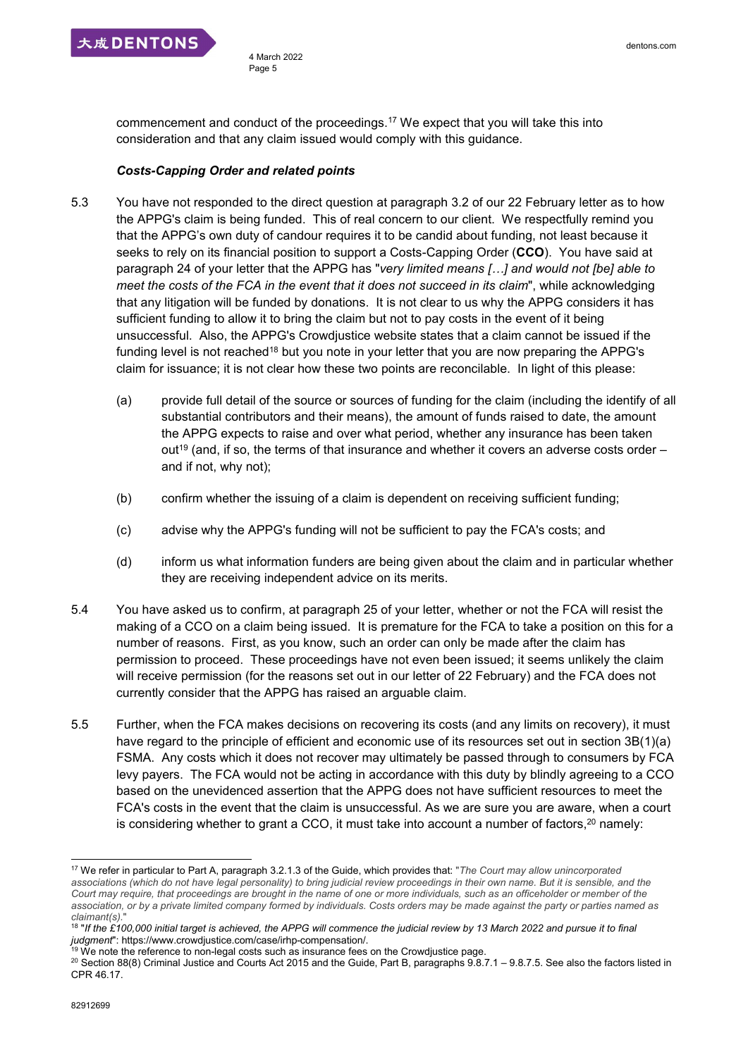

commencement and conduct of the proceedings.<sup>17</sup> We expect that you will take this into consideration and that any claim issued would comply with this guidance.

#### *Costs-Capping Order and related points*

- 5.3 You have not responded to the direct question at paragraph 3.2 of our 22 February letter as to how the APPG's claim is being funded. This of real concern to our client. We respectfully remind you that the APPG's own duty of candour requires it to be candid about funding, not least because it seeks to rely on its financial position to support a Costs-Capping Order (**CCO**). You have said at paragraph 24 of your letter that the APPG has "*very limited means […] and would not [be] able to meet the costs of the FCA in the event that it does not succeed in its claim*", while acknowledging that any litigation will be funded by donations. It is not clear to us why the APPG considers it has sufficient funding to allow it to bring the claim but not to pay costs in the event of it being unsuccessful. Also, the APPG's Crowdjustice website states that a claim cannot be issued if the funding level is not reached<sup>18</sup> but you note in your letter that you are now preparing the APPG's claim for issuance; it is not clear how these two points are reconcilable. In light of this please:
	- (a) provide full detail of the source or sources of funding for the claim (including the identify of all substantial contributors and their means), the amount of funds raised to date, the amount the APPG expects to raise and over what period, whether any insurance has been taken out<sup>19</sup> (and, if so, the terms of that insurance and whether it covers an adverse costs order  $$ and if not, why not);
	- (b) confirm whether the issuing of a claim is dependent on receiving sufficient funding;
	- (c) advise why the APPG's funding will not be sufficient to pay the FCA's costs; and
	- (d) inform us what information funders are being given about the claim and in particular whether they are receiving independent advice on its merits.
- 5.4 You have asked us to confirm, at paragraph 25 of your letter, whether or not the FCA will resist the making of a CCO on a claim being issued. It is premature for the FCA to take a position on this for a number of reasons. First, as you know, such an order can only be made after the claim has permission to proceed. These proceedings have not even been issued; it seems unlikely the claim will receive permission (for the reasons set out in our letter of 22 February) and the FCA does not currently consider that the APPG has raised an arguable claim.
- 5.5 Further, when the FCA makes decisions on recovering its costs (and any limits on recovery), it must have regard to the principle of efficient and economic use of its resources set out in section 3B(1)(a) FSMA. Any costs which it does not recover may ultimately be passed through to consumers by FCA levy payers. The FCA would not be acting in accordance with this duty by blindly agreeing to a CCO based on the unevidenced assertion that the APPG does not have sufficient resources to meet the FCA's costs in the event that the claim is unsuccessful. As we are sure you are aware, when a court is considering whether to grant a CCO, it must take into account a number of factors, <sup>20</sup> namely:

1

<sup>17</sup> We refer in particular to Part A, paragraph 3.2.1.3 of the Guide, which provides that: "*The Court may allow unincorporated associations (which do not have legal personality) to bring judicial review proceedings in their own name. But it is sensible, and the Court may require, that proceedings are brought in the name of one or more individuals, such as an officeholder or member of the association, or by a private limited company formed by individuals. Costs orders may be made against the party or parties named as claimant(s).*"

<sup>&</sup>lt;sup>18</sup> "If the £100,000 initial target is achieved, the APPG will commence the judicial review by 13 March 2022 and pursue it to final *judgment*": https://www.crowdjustice.com/case/irhp-compensation/.

 $19$  We note the reference to non-legal costs such as insurance fees on the Crowdjustice page.

<sup>&</sup>lt;sup>20</sup> Section 88(8) Criminal Justice and Courts Act 2015 and the Guide, Part B, paragraphs 9.8.7.1 – 9.8.7.5. See also the factors listed in CPR 46.17.